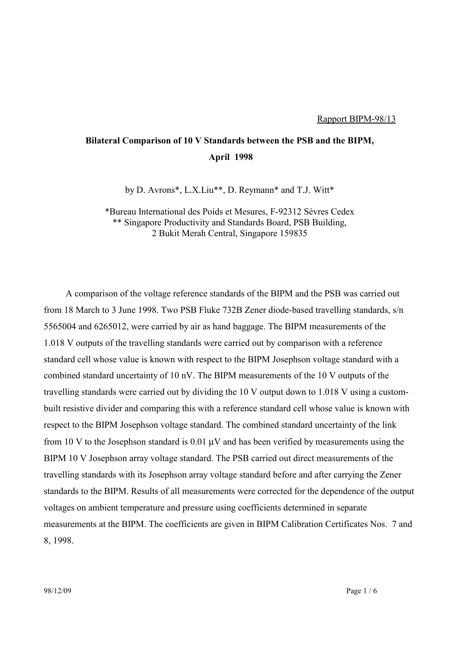## **Bilateral Comparison of 10 V Standards between the PSB and the BIPM, April 1998**

by D. Avrons\*, L.X.Liu\*\*, D. Reymann\* and T.J. Witt\*

\*Bureau International des Poids et Mesures, F-92312 Sèvres Cedex \*\* Singapore Productivity and Standards Board, PSB Building, 2 Bukit Merah Central, Singapore 159835

A comparison of the voltage reference standards of the BIPM and the PSB was carried out from 18 March to 3 June 1998. Two PSB Fluke 732B Zener diode-based travelling standards, s/n 5565004 and 6265012, were carried by air as hand baggage. The BIPM measurements of the 1.018 V outputs of the travelling standards were carried out by comparison with a reference standard cell whose value is known with respect to the BIPM Josephson voltage standard with a combined standard uncertainty of 10 nV. The BIPM measurements of the 10 V outputs of the travelling standards were carried out by dividing the 10 V output down to 1.018 V using a custombuilt resistive divider and comparing this with a reference standard cell whose value is known with respect to the BIPM Josephson voltage standard. The combined standard uncertainty of the link from 10 V to the Josephson standard is  $0.01 \mu$ V and has been verified by measurements using the BIPM 10 V Josephson array voltage standard. The PSB carried out direct measurements of the travelling standards with its Josephson array voltage standard before and after carrying the Zener standards to the BIPM. Results of all measurements were corrected for the dependence of the output voltages on ambient temperature and pressure using coefficients determined in separate measurements at the BIPM. The coefficients are given in BIPM Calibration Certificates Nos. 7 and 8, 1998.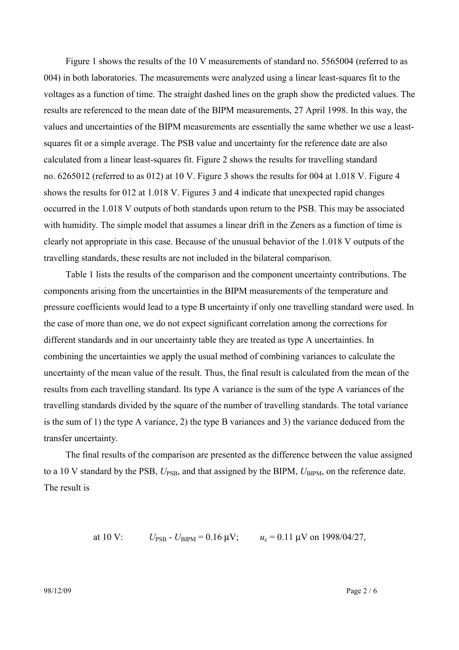Figure 1 shows the results of the 10 V measurements of standard no. 5565004 (referred to as 004) in both laboratories. The measurements were analyzed using a linear least-squares fit to the voltages as a function of time. The straight dashed lines on the graph show the predicted values. The results are referenced to the mean date of the BIPM measurements, 27 April 1998. In this way, the values and uncertainties of the BIPM measurements are essentially the same whether we use a leastsquares fit or a simple average. The PSB value and uncertainty for the reference date are also calculated from a linear least-squares fit. Figure 2 shows the results for travelling standard no. 6265012 (referred to as 012) at 10 V. Figure 3 shows the results for 004 at 1.018 V. Figure 4 shows the results for 012 at 1.018 V. Figures 3 and 4 indicate that unexpected rapid changes occurred in the 1.018 V outputs of both standards upon return to the PSB. This may be associated with humidity. The simple model that assumes a linear drift in the Zeners as a function of time is clearly not appropriate in this case. Because of the unusual behavior of the 1.018 V outputs of the travelling standards, these results are not included in the bilateral comparison.

Table 1 lists the results of the comparison and the component uncertainty contributions. The components arising from the uncertainties in the BIPM measurements of the temperature and pressure coefficients would lead to a type B uncertainty if only one travelling standard were used. In the case of more than one, we do not expect significant correlation among the corrections for different standards and in our uncertainty table they are treated as type A uncertainties. In combining the uncertainties we apply the usual method of combining variances to calculate the uncertainty of the mean value of the result. Thus, the final result is calculated from the mean of the results from each travelling standard. Its type A variance is the sum of the type A variances of the travelling standards divided by the square of the number of travelling standards. The total variance is the sum of 1) the type A variance, 2) the type B variances and 3) the variance deduced from the transfer uncertainty.

The final results of the comparison are presented as the difference between the value assigned to a 10 V standard by the PSB,  $U_{PSB}$ , and that assigned by the BIPM,  $U_{BPM}$ , on the reference date. The result is

at 10 V: 
$$
U_{\text{PSB}} - U_{\text{BIPM}} = 0.16 \text{ }\mu\text{V};
$$
  $u_c = 0.11 \text{ }\mu\text{V on } 1998/04/27,$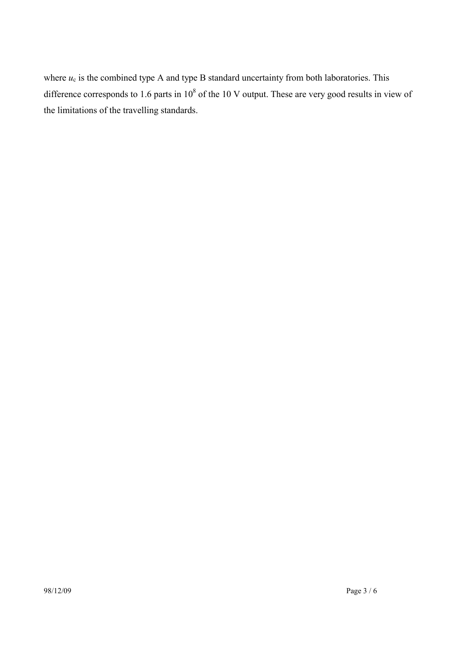where  $u_c$  is the combined type A and type B standard uncertainty from both laboratories. This difference corresponds to 1.6 parts in  $10^8$  of the 10 V output. These are very good results in view of the limitations of the travelling standards.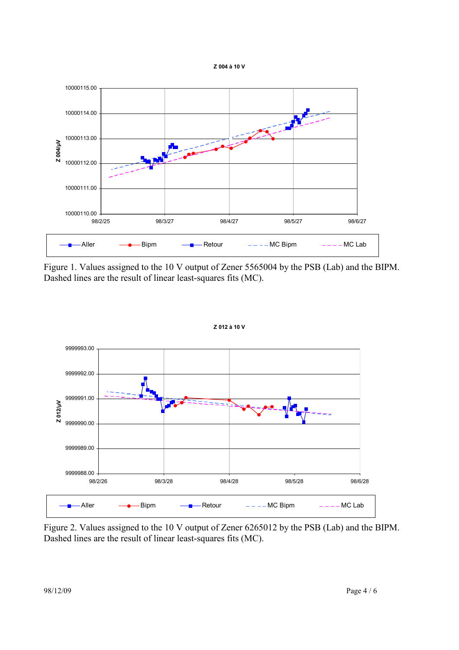



Figure 1. Values assigned to the 10 V output of Zener 5565004 by the PSB (Lab) and the BIPM. Dashed lines are the result of linear least-squares fits (MC).



Figure 2. Values assigned to the 10 V output of Zener 6265012 by the PSB (Lab) and the BIPM. Dashed lines are the result of linear least-squares fits (MC).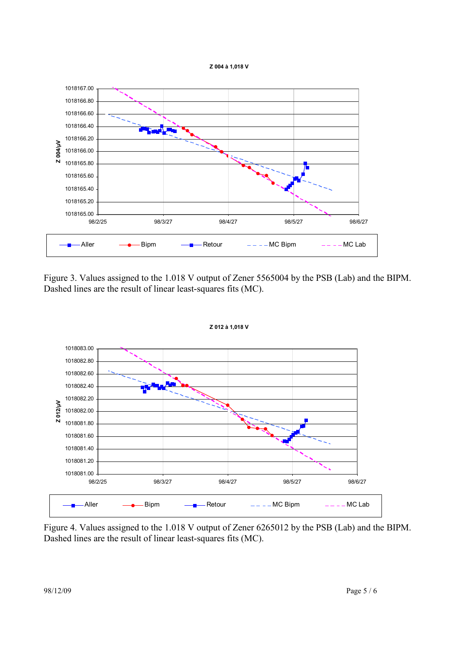**Z 004 à 1,018 V**



Figure 3. Values assigned to the 1.018 V output of Zener 5565004 by the PSB (Lab) and the BIPM. Dashed lines are the result of linear least-squares fits (MC).

**Z 012 à 1,018 V**



Figure 4. Values assigned to the 1.018 V output of Zener 6265012 by the PSB (Lab) and the BIPM.

Dashed lines are the result of linear least-squares fits (MC).